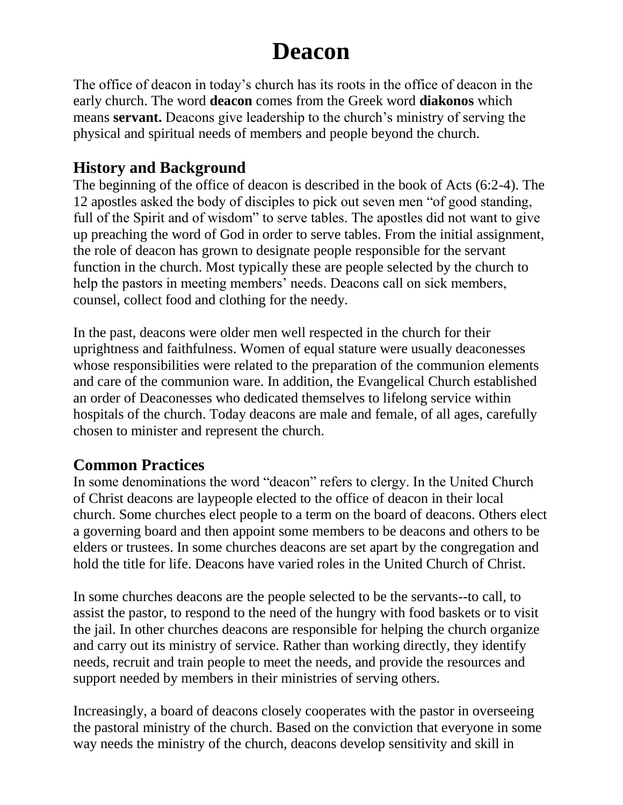# **Deacon**

The office of deacon in today's church has its roots in the office of deacon in the early church. The word **deacon** comes from the Greek word **diakonos** which means **servant.** Deacons give leadership to the church's ministry of serving the physical and spiritual needs of members and people beyond the church.

#### **History and Background**

The beginning of the office of deacon is described in the book of Acts (6:2-4). The 12 apostles asked the body of disciples to pick out seven men "of good standing, full of the Spirit and of wisdom" to serve tables. The apostles did not want to give up preaching the word of God in order to serve tables. From the initial assignment, the role of deacon has grown to designate people responsible for the servant function in the church. Most typically these are people selected by the church to help the pastors in meeting members' needs. Deacons call on sick members, counsel, collect food and clothing for the needy.

In the past, deacons were older men well respected in the church for their uprightness and faithfulness. Women of equal stature were usually deaconesses whose responsibilities were related to the preparation of the communion elements and care of the communion ware. In addition, the Evangelical Church established an order of Deaconesses who dedicated themselves to lifelong service within hospitals of the church. Today deacons are male and female, of all ages, carefully chosen to minister and represent the church.

#### **Common Practices**

In some denominations the word "deacon" refers to clergy. In the United Church of Christ deacons are laypeople elected to the office of deacon in their local church. Some churches elect people to a term on the board of deacons. Others elect a governing board and then appoint some members to be deacons and others to be elders or trustees. In some churches deacons are set apart by the congregation and hold the title for life. Deacons have varied roles in the United Church of Christ.

In some churches deacons are the people selected to be the servants--to call, to assist the pastor, to respond to the need of the hungry with food baskets or to visit the jail. In other churches deacons are responsible for helping the church organize and carry out its ministry of service. Rather than working directly, they identify needs, recruit and train people to meet the needs, and provide the resources and support needed by members in their ministries of serving others.

Increasingly, a board of deacons closely cooperates with the pastor in overseeing the pastoral ministry of the church. Based on the conviction that everyone in some way needs the ministry of the church, deacons develop sensitivity and skill in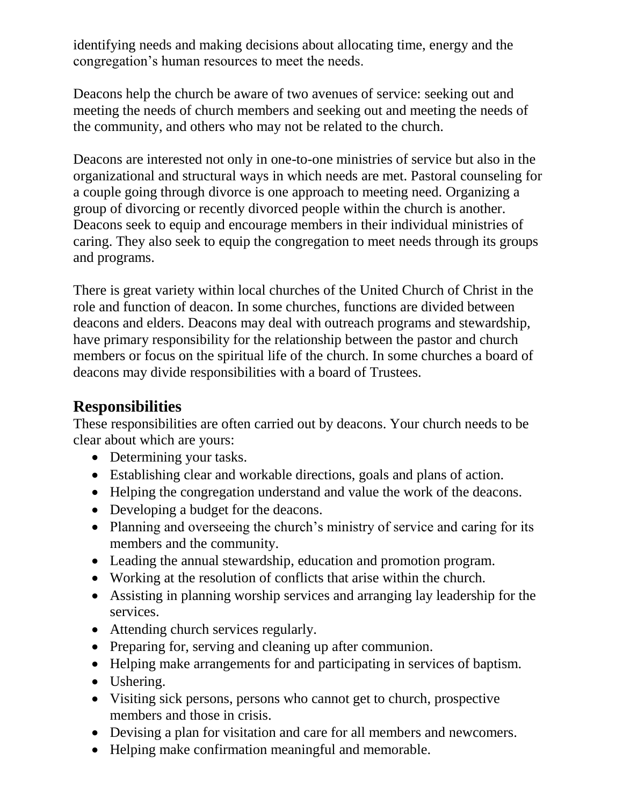identifying needs and making decisions about allocating time, energy and the congregation's human resources to meet the needs.

Deacons help the church be aware of two avenues of service: seeking out and meeting the needs of church members and seeking out and meeting the needs of the community, and others who may not be related to the church.

Deacons are interested not only in one-to-one ministries of service but also in the organizational and structural ways in which needs are met. Pastoral counseling for a couple going through divorce is one approach to meeting need. Organizing a group of divorcing or recently divorced people within the church is another. Deacons seek to equip and encourage members in their individual ministries of caring. They also seek to equip the congregation to meet needs through its groups and programs.

There is great variety within local churches of the United Church of Christ in the role and function of deacon. In some churches, functions are divided between deacons and elders. Deacons may deal with outreach programs and stewardship, have primary responsibility for the relationship between the pastor and church members or focus on the spiritual life of the church. In some churches a board of deacons may divide responsibilities with a board of Trustees.

#### **Responsibilities**

These responsibilities are often carried out by deacons. Your church needs to be clear about which are yours:

- Determining your tasks.
- Establishing clear and workable directions, goals and plans of action.
- Helping the congregation understand and value the work of the deacons.
- Developing a budget for the deacons.
- Planning and overseeing the church's ministry of service and caring for its members and the community.
- Leading the annual stewardship, education and promotion program.
- Working at the resolution of conflicts that arise within the church.
- Assisting in planning worship services and arranging lay leadership for the services.
- Attending church services regularly.
- Preparing for, serving and cleaning up after communion.
- Helping make arrangements for and participating in services of baptism.
- Ushering.
- Visiting sick persons, persons who cannot get to church, prospective members and those in crisis.
- Devising a plan for visitation and care for all members and newcomers.
- Helping make confirmation meaningful and memorable.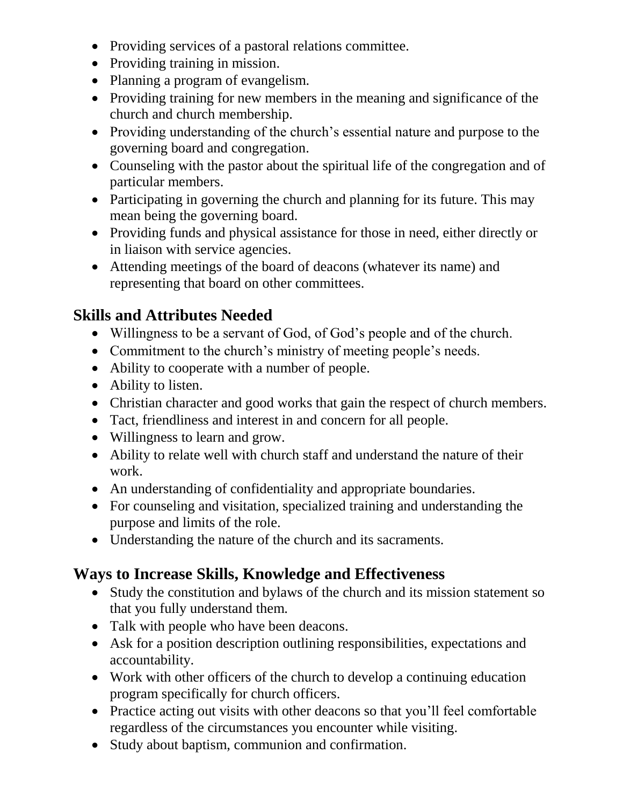- Providing services of a pastoral relations committee.
- Providing training in mission.
- Planning a program of evangelism.
- Providing training for new members in the meaning and significance of the church and church membership.
- Providing understanding of the church's essential nature and purpose to the governing board and congregation.
- Counseling with the pastor about the spiritual life of the congregation and of particular members.
- Participating in governing the church and planning for its future. This may mean being the governing board.
- Providing funds and physical assistance for those in need, either directly or in liaison with service agencies.
- Attending meetings of the board of deacons (whatever its name) and representing that board on other committees.

## **Skills and Attributes Needed**

- Willingness to be a servant of God, of God's people and of the church.
- Commitment to the church's ministry of meeting people's needs.
- Ability to cooperate with a number of people.
- Ability to listen.
- Christian character and good works that gain the respect of church members.
- Tact, friendliness and interest in and concern for all people.
- Willingness to learn and grow.
- Ability to relate well with church staff and understand the nature of their work.
- An understanding of confidentiality and appropriate boundaries.
- For counseling and visitation, specialized training and understanding the purpose and limits of the role.
- Understanding the nature of the church and its sacraments.

# **Ways to Increase Skills, Knowledge and Effectiveness**

- Study the constitution and bylaws of the church and its mission statement so that you fully understand them.
- Talk with people who have been deacons.
- Ask for a position description outlining responsibilities, expectations and accountability.
- Work with other officers of the church to develop a continuing education program specifically for church officers.
- Practice acting out visits with other deacons so that you'll feel comfortable regardless of the circumstances you encounter while visiting.
- Study about baptism, communion and confirmation.